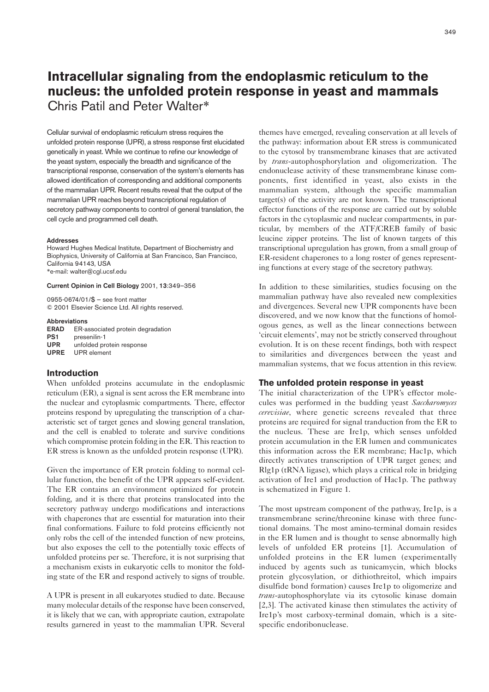# **Intracellular signaling from the endoplasmic reticulum to the nucleus: the unfolded protein response in yeast and mammals** Chris Patil and Peter Walter\*

Cellular survival of endoplasmic reticulum stress requires the unfolded protein response (UPR), a stress response first elucidated genetically in yeast. While we continue to refine our knowledge of the yeast system, especially the breadth and significance of the transcriptional response, conservation of the system's elements has allowed identification of corresponding and additional components of the mammalian UPR. Recent results reveal that the output of the mammalian UPR reaches beyond transcriptional regulation of secretory pathway components to control of general translation, the cell cycle and programmed cell death.

#### **Addresses**

Howard Hughes Medical Institute, Department of Biochemistry and Biophysics, University of California at San Francisco, San Francisco, California 94143, USA \*e-mail: walter@cgl.ucsf.edu

#### **Current Opinion in Cell Biology** 2001, **13**:349–356

0955-0674/01/\$ — see front matter © 2001 Elsevier Science Ltd. All rights reserved.

## **Abbreviations**

| <b>ERAD</b> | ER-associated protein degradation |
|-------------|-----------------------------------|
| PS1         | presenilin-1                      |
| <b>UPR</b>  | unfolded protein response         |
| <b>UPRE</b> | UPR element                       |

## **Introduction**

When unfolded proteins accumulate in the endoplasmic reticulum (ER), a signal is sent across the ER membrane into the nuclear and cytoplasmic compartments. There, effector proteins respond by upregulating the transcription of a characteristic set of target genes and slowing general translation, and the cell is enabled to tolerate and survive conditions which compromise protein folding in the ER. This reaction to ER stress is known as the unfolded protein response (UPR).

Given the importance of ER protein folding to normal cellular function, the benefit of the UPR appears self-evident. The ER contains an environment optimized for protein folding, and it is there that proteins translocated into the secretory pathway undergo modifications and interactions with chaperones that are essential for maturation into their final conformations. Failure to fold proteins efficiently not only robs the cell of the intended function of new proteins, but also exposes the cell to the potentially toxic effects of unfolded proteins per se. Therefore, it is not surprising that a mechanism exists in eukaryotic cells to monitor the folding state of the ER and respond actively to signs of trouble.

A UPR is present in all eukaryotes studied to date. Because many molecular details of the response have been conserved, it is likely that we can, with appropriate caution, extrapolate results garnered in yeast to the mammalian UPR. Several themes have emerged, revealing conservation at all levels of the pathway: information about ER stress is communicated to the cytosol by transmembrane kinases that are activated by *trans*-autophosphorylation and oligomerization. The endonuclease activity of these transmembrane kinase components, first identified in yeast, also exists in the mammalian system, although the specific mammalian target(s) of the activity are not known. The transcriptional effector functions of the response are carried out by soluble factors in the cytoplasmic and nuclear compartments, in particular, by members of the ATF/CREB family of basic leucine zipper proteins. The list of known targets of this transcriptional upregulation has grown, from a small group of ER-resident chaperones to a long roster of genes representing functions at every stage of the secretory pathway.

In addition to these similarities, studies focusing on the mammalian pathway have also revealed new complexities and divergences. Several new UPR components have been discovered, and we now know that the functions of homologous genes, as well as the linear connections between 'circuit elements', may not be strictly conserved throughout evolution. It is on these recent findings, both with respect to similarities and divergences between the yeast and mammalian systems, that we focus attention in this review.

# **The unfolded protein response in yeast**

The initial characterization of the UPR's effector molecules was performed in the budding yeast *Saccharomyces cerevisiae*, where genetic screens revealed that three proteins are required for signal tranduction from the ER to the nucleus. These are Ire1p, which senses unfolded protein accumulation in the ER lumen and communicates this information across the ER membrane; Hac1p, which directly activates transcription of UPR target genes; and Rlg1p (tRNA ligase), which plays a critical role in bridging activation of Ire1 and production of Hac1p. The pathway is schematized in Figure 1.

The most upstream component of the pathway, Ire1p, is a transmembrane serine/threonine kinase with three functional domains. The most amino-terminal domain resides in the ER lumen and is thought to sense abnormally high levels of unfolded ER proteins [1]. Accumulation of unfolded proteins in the ER lumen (experimentally induced by agents such as tunicamycin, which blocks protein glycosylation, or dithiothreitol, which impairs disulfide bond formation) causes Ire1p to oligomerize and *trans*-autophosphorylate via its cytosolic kinase domain [2,3]. The activated kinase then stimulates the activity of Ire1p's most carboxy-terminal domain, which is a sitespecific endoribonuclease.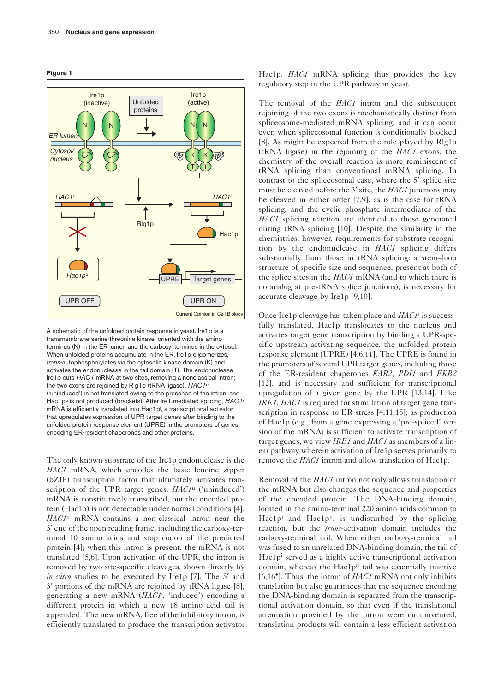



A schematic of the unfolded protein response in yeast. Ire1p is a transmembrane serine-threonine kinase, oriented with the amino terminus (N) in the ER lumen and the carboxyl terminus in the cytosol. When unfolded proteins accumulate in the ER, Ire1p oligomerizes, *trans*-autophosphorylates via the cytosolic kinase domain (K) and activates the endonuclease in the tail domain (T). The endonuclease Ire1p cuts *HAC1* mRNA at two sites, removing a nonclassical intron; the two exons are rejoined by Rlg1p (tRNA ligase). *HAC1u* ('uninduced') is not translated owing to the presence of the intron, and Hac1p<sup>u</sup> is not produced (brackets). After Ire1-mediated splicing, *HAC1<sup>i</sup>* mRNA is efficiently translated into Hac1pi , a transcriptional activator that upregulates expression of UPR target genes after binding to the unfolded protein response element (UPRE) in the promoters of genes encoding ER-resident chaperones and other proteins.

The only known substrate of the Ire1p endonuclease is the *HAC1* mRNA, which encodes the basic leucine zipper (bZIP) transcription factor that ultimately activates transcription of the UPR target genes. *HAC1*u ('uninduced') mRNA is constitutively transcribed, but the encoded protein (Hac1p) is not detectable under normal conditions [4]. *HAC1*u mRNA contains a non-classical intron near the 3′ end of the open reading frame, including the carboxy-terminal 10 amino acids and stop codon of the predicted protein [4]; when this intron is present, the mRNA is not translated [5,6]. Upon activation of the UPR, the intron is removed by two site-specific cleavages, shown directly by *in vitro* studies to be executed by Ire1p [7]. The 5' and 3′ portions of the mRNA are rejoined by tRNA ligase [8], generating a new mRNA (*HAC1*i , 'induced') encoding a different protein in which a new 18 amino acid tail is appended. The new mRNA, free of the inhibitory intron, is efficiently translated to produce the transcription activator

Hac1p. *HAC1* mRNA splicing thus provides the key regulatory step in the UPR pathway in yeast.

The removal of the *HAC1* intron and the subsequent rejoining of the two exons is mechanistically distinct from spliceosome-mediated mRNA splicing, and it can occur even when spliceosomal function is conditionally blocked [8]. As might be expected from the role played by Rlg1p (tRNA ligase) in the rejoining of the *HAC1* exons, the chemistry of the overall reaction is more reminiscent of tRNA splicing than conventional mRNA splicing. In contrast to the spliceosomal case, where the 5′ splice site must be cleaved before the 3′ site, the *HAC1* junctions may be cleaved in either order [7,9], as is the case for tRNA splicing, and the cyclic phosphate intermediates of the *HAC1* splicing reaction are identical to those generated during tRNA splicing [10]. Despite the similarity in the chemistries, however, requirements for substrate recognition by the endonuclease in *HAC1* splicing differs substantially from those in tRNA splicing: a stem–loop structure of specific size and sequence, present at both of the splice sites in the *HAC1* mRNA (and to which there is no analog at pre-tRNA splice junctions), is necessary for accurate cleavage by Ire1p [9,10].

Once Ire1p cleavage has taken place and *HAC1*i is successfully translated, Hac1p translocates to the nucleus and activates target gene transcription by binding a UPR-specific upstream activating sequence, the unfolded protein response element (UPRE) [4,6,11]. The UPRE is found in the promoters of several UPR target genes, including those of the ER-resident chaperones *KAR2*, *PDI1* and *FKB2* [12], and is necessary and sufficient for transcriptional upregulation of a given gene by the UPR [13,14]. Like *IRE1*, *HAC1* is required for stimulation of target gene transcription in response to ER stress [4,11,15]; as production of Hac1p (e.g., from a gene expressing a 'pre-spliced' version of the mRNA) is sufficient to activate transcription of target genes, we view *IRE1* and *HAC1* as members of a linear pathway wherein activation of Ire1p serves primarily to remove the *HAC1* intron and allow translation of Hac1p.

Removal of the *HAC1* intron not only allows translation of the mRNA but also changes the sequence and properties of the encoded protein. The DNA-binding domain, located in the amino-terminal 220 amino acids common to Hac1p<sup>i</sup> and Hac1p<sup>u</sup>, is undisturbed by the splicing reaction, but the *trans*-activation domain includes the carboxy-terminal tail. When either carboxy-terminal tail was fused to an unrelated DNA-binding domain, the tail of Hac1pi served as a highly active transcriptional activation domain, whereas the Hac1pu tail was essentially inactive [6,16•]. Thus, the intron of *HAC1* mRNA not only inhibits translation but also guarantees that the sequence encoding the DNA-binding domain is separated from the transcriptional activation domain, so that even if the translational attenuation provided by the intron were circumvented, translation products will contain a less efficient activation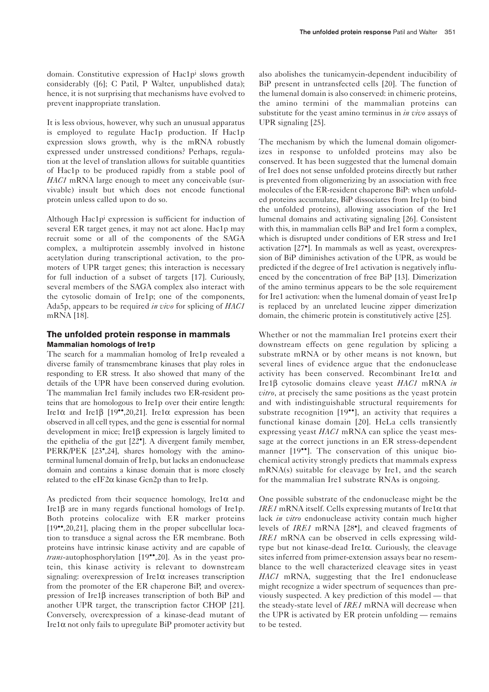domain. Constitutive expression of Hac1pi slows growth considerably ([6]; C Patil, P Walter, unpublished data); hence, it is not surprising that mechanisms have evolved to prevent inappropriate translation.

It is less obvious, however, why such an unusual apparatus is employed to regulate Hac1p production. If Hac1p expression slows growth, why is the mRNA robustly expressed under unstressed conditions? Perhaps, regulation at the level of translation allows for suitable quantities of Hac1p to be produced rapidly from a stable pool of *HAC1* mRNA large enough to meet any conceivable (survivable) insult but which does not encode functional protein unless called upon to do so.

Although Hac1pi expression is sufficient for induction of several ER target genes, it may not act alone. Hac1p may recruit some or all of the components of the SAGA complex, a multiprotein assembly involved in histone acetylation during transcriptional activation, to the promoters of UPR target genes; this interaction is necessary for full induction of a subset of targets [17]. Curiously, several members of the SAGA complex also interact with the cytosolic domain of Ire1p; one of the components, Ada5p, appears to be required *in vivo* for splicing of *HAC1* mRNA [18].

# **The unfolded protein response in mammals Mammalian homologs of Ire1p**

The search for a mammalian homolog of Ire1p revealed a diverse family of transmembrane kinases that play roles in responding to ER stress. It also showed that many of the details of the UPR have been conserved during evolution. The mammalian Ire1 family includes two ER-resident proteins that are homologous to Ire1p over their entire length: Ire1α and Ire1β [19••, 20, 21]. Ire1α expression has been observed in all cell types, and the gene is essential for normal development in mice; Ire1β expression is largely limited to the epithelia of the gut [22•]. A divergent family member, PERK/PEK [23,24], shares homology with the aminoterminal lumenal domain of Ire1p, but lacks an endonuclease domain and contains a kinase domain that is more closely related to the eIF2 $\alpha$  kinase Gcn2p than to Ire1p.

As predicted from their sequence homology, Ire1α and Ire1β are in many regards functional homologs of Ire1p. Both proteins colocalize with ER marker proteins [19••,20,21], placing them in the proper subcellular location to transduce a signal across the ER membrane. Both proteins have intrinsic kinase activity and are capable of *trans*-autophosphorylation [19••,20]. As in the yeast protein, this kinase activity is relevant to downstream signaling: overexpression of Ire1α increases transcription from the promoter of the ER chaperone BiP, and overexpression of Ire1β increases transcription of both BiP and another UPR target, the transcription factor CHOP [21]. Conversely, overexpression of a kinase-dead mutant of Ire1α not only fails to upregulate BiP promoter activity but also abolishes the tunicamycin-dependent inducibility of BiP present in untransfected cells [20]. The function of the lumenal domain is also conserved: in chimeric proteins, the amino termini of the mammalian proteins can substitute for the yeast amino terminus in *in vivo* assays of UPR signaling [25].

The mechanism by which the lumenal domain oligomerizes in response to unfolded proteins may also be conserved. It has been suggested that the lumenal domain of Ire1 does not sense unfolded proteins directly but rather is prevented from oligomerizing by an association with free molecules of the ER-resident chaperone BiP: when unfolded proteins accumulate, BiP dissociates from Ire1p (to bind the unfolded proteins), allowing association of the Ire1 lumenal domains and activating signaling [26]. Consistent with this, in mammalian cells BiP and Ire1 form a complex, which is disrupted under conditions of ER stress and Ire1 activation [27•]. In mammals as well as yeast, overexpression of BiP diminishes activation of the UPR, as would be predicted if the degree of Ire1 activation is negatively influenced by the concentration of free BiP [13]. Dimerization of the amino terminus appears to be the sole requirement for Ire1 activation: when the lumenal domain of yeast Ire1p is replaced by an unrelated leucine zipper dimerization domain, the chimeric protein is constitutively active [25].

Whether or not the mammalian Ire1 proteins exert their downstream effects on gene regulation by splicing a substrate mRNA or by other means is not known, but several lines of evidence argue that the endonuclease activity has been conserved. Recombinant Ire1 $\alpha$  and Ire1β cytosolic domains cleave yeast *HAC1* mRNA *in vitro*, at precisely the same positions as the yeast protein and with indistinguishable structural requirements for substrate recognition [19••], an activity that requires a functional kinase domain [20]. HeLa cells transiently expressing yeast *HAC1* mRNA can splice the yeast message at the correct junctions in an ER stress-dependent manner [19••]. The conservation of this unique biochemical activity strongly predicts that mammals express mRNA(s) suitable for cleavage by Ire1, and the search for the mammalian Ire1 substrate RNAs is ongoing.

One possible substrate of the endonuclease might be the *IRE1* mRNA itself. Cells expressing mutants of Ire1 $\alpha$  that lack *in vitro* endonuclease activity contain much higher levels of *IRE1* mRNA [28•], and cleaved fragments of *IRE1* mRNA can be observed in cells expressing wildtype but not kinase-dead Ire1α. Curiously, the cleavage sites inferred from primer-extension assays bear no resemblance to the well characterized cleavage sites in yeast *HAC1* mRNA, suggesting that the Ire1 endonuclease might recognize a wider spectrum of sequences than previously suspected. A key prediction of this model — that the steady-state level of *IRE1* mRNA will decrease when the UPR is activated by ER protein unfolding — remains to be tested.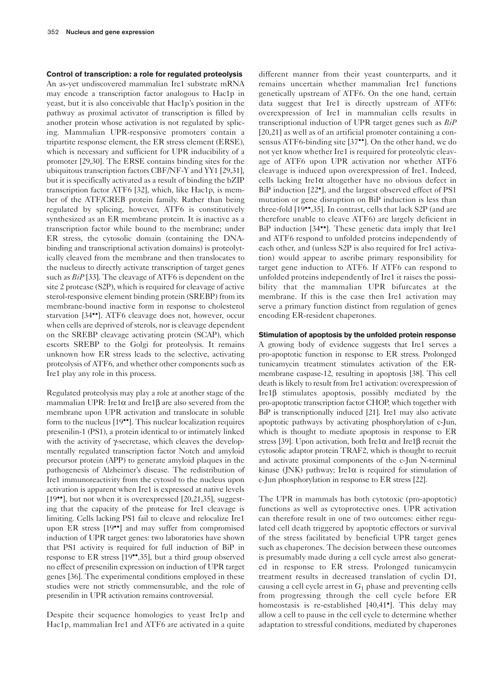### **Control of transcription: a role for regulated proteolysis**

An as-yet undiscovered mammalian Ire1 substrate mRNA may encode a transcription factor analogous to Hac1p in yeast, but it is also conceivable that Hac1p's position in the pathway as proximal activator of transcription is filled by another protein whose activation is not regulated by splicing. Mammalian UPR-responsive promoters contain a tripartite response element, the ER stress element (ERSE), which is necessary and sufficient for UPR inducibility of a promoter [29,30]. The ERSE contains binding sites for the ubiquitous transcription factors CBF/NF-Y and YY1 [29,31], but it is specifically activated as a result of binding the bZIP transcription factor ATF6 [32], which, like Hac1p, is member of the ATF/CREB protein family. Rather than being regulated by splicing, however, ATF6 is constitutively synthesized as an ER membrane protein. It is inactive as a transcription factor while bound to the membrane; under ER stress, the cytosolic domain (containing the DNAbinding and transcriptional activation domains) is proteolytically cleaved from the membrane and then translocates to the nucleus to directly activate transcription of target genes such as *BiP* [33]. The cleavage of ATF6 is dependent on the site 2 protease (S2P), which is required for cleavage of active sterol-responsive element binding protein (SREBP) from its membrane-bound inactive form in response to cholesterol starvation [34••]. ATF6 cleavage does not, however, occur when cells are deprived of sterols, nor is cleavage dependent on the SREBP cleavage activating protein (SCAP), which escorts SREBP to the Golgi for proteolysis. It remains unknown how ER stress leads to the selective, activating proteolysis of ATF6, and whether other components such as Ire1 play any role in this process.

Regulated proteolysis may play a role at another stage of the mammalian UPR: Ire1α and Ire1β are also severed from the membrane upon UPR activation and translocate in soluble form to the nucleus [19••]. This nuclear localization requires presenilin-1 (PS1), a protein identical to or intimately linked with the activity of γ-secretase, which cleaves the developmentally regulated transcription factor Notch and amyloid precursor protein (APP) to generate amyloid plaques in the pathogenesis of Alzheimer's disease. The redistribution of Ire1 immunoreactivity from the cytosol to the nucleus upon activation is apparent when Ire1 is expressed at native levels [19••], but not when it is overexpressed [20,21,35], suggesting that the capacity of the protease for Ire1 cleavage is limiting. Cells lacking PS1 fail to cleave and relocalize Ire1 upon ER stress [19••] and may suffer from compromised induction of UPR target genes: two laboratories have shown that PS1 activity is required for full induction of BiP in response to ER stress [19••,35], but a third group observed no effect of presenilin expression on induction of UPR target genes [36]. The experimental conditions employed in these studies were not strictly commensurable, and the role of presenilin in UPR activation remains controversial.

Despite their sequence homologies to yeast Ire1p and Hac1p, mammalian Ire1 and ATF6 are activated in a quite different manner from their yeast counterparts, and it remains uncertain whether mammalian Ire1 functions genetically upstream of ATF6. On the one hand, certain data suggest that Ire1 is directly upstream of ATF6: overexpression of Ire1 in mammalian cells results in transcriptional induction of UPR target genes such as *BiP* [20,21] as well as of an artificial promoter containing a consensus ATF6-binding site [37••]. On the other hand, we do not yet know whether Ire1 is required for proteolytic cleavage of ATF6 upon UPR activation nor whether ATF6 cleavage is induced upon overexpression of Ire1. Indeed, cells lacking Ire1α altogether have no obvious defect in BiP induction [22•], and the largest observed effect of PS1 mutation or gene disruption on BiP induction is less than three-fold [19••,35]. In contrast, cells that lack S2P (and are therefore unable to cleave ATF6) are largely deficient in BiP induction [34••]. These genetic data imply that Ire1 and ATF6 respond to unfolded proteins independently of each other, and (unless S2P is also required for Ire1 activation) would appear to ascribe primary responsibility for target gene induction to ATF6. If ATF6 can respond to unfolded proteins independently of Ire1 it raises the possibility that the mammalian UPR bifurcates at the membrane. If this is the case then Ire1 activation may serve a primary function distinct from regulation of genes encoding ER-resident chaperones.

#### **Stimulation of apoptosis by the unfolded protein response**

A growing body of evidence suggests that Ire1 serves a pro-apoptotic function in response to ER stress. Prolonged tunicamycin treatment stimulates activation of the ERmembrane caspase-12, resulting in apoptosis [38]. This cell death is likely to result from Ire1 activation: overexpression of Ire1β stimulates apoptosis, possibly mediated by the pro-apoptotic transcription factor CHOP, which together with BiP is transcriptionally induced [21]. Ire1 may also activate apoptotic pathways by activating phosphorylation of c-Jun, which is thought to mediate apoptosis in response to ER stress [39]. Upon activation, both Ire1 $\alpha$  and Ire1 $\beta$  recruit the cytosolic adaptor protein TRAF2, which is thought to recruit and activate proximal components of the c-Jun N-terminal kinase (JNK) pathway; Ire1 $\alpha$  is required for stimulation of c-Jun phosphorylation in response to ER stress [22].

The UPR in mammals has both cytotoxic (pro-apoptotic) functions as well as cytoprotective ones. UPR activation can therefore result in one of two outcomes: either regulated cell death triggered by apoptotic effectors or survival of the stress facilitated by beneficial UPR target genes such as chaperones. The decision between these outcomes is presumably made during a cell cycle arrest also generated in response to ER stress. Prolonged tunicamycin treatment results in decreased translation of cyclin D1, causing a cell cycle arrest in  $G_1$  phase and preventing cells from progressing through the cell cycle before ER homeostasis is re-established [40,41•]. This delay may allow a cell to pause in the cell cycle to determine whether adaptation to stressful conditions, mediated by chaperones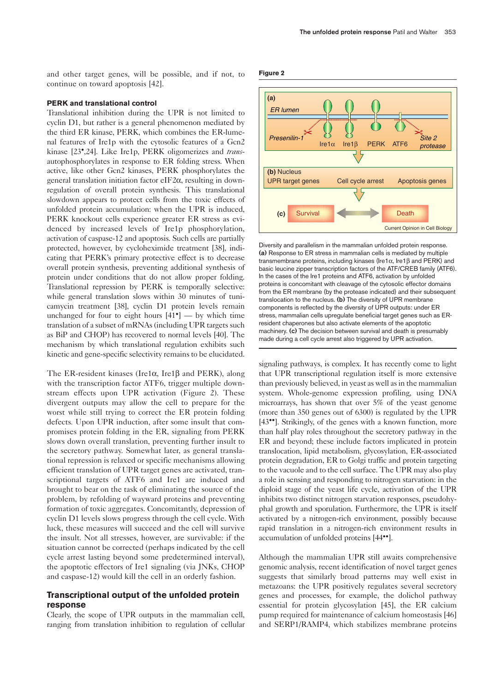and other target genes, will be possible, and if not, to continue on toward apoptosis [42].

## **PERK and translational control**

Translational inhibition during the UPR is not limited to cyclin D1, but rather is a general phenomenon mediated by the third ER kinase, PERK, which combines the ER-lumenal features of Ire1p with the cytosolic features of a Gcn2 kinase [23•,24]. Like Ire1p, PERK oligomerizes and *trans*autophosphorylates in response to ER folding stress. When active, like other Gcn2 kinases, PERK phosphorylates the general translation initiation factor eIF2α, resulting in downregulation of overall protein synthesis. This translational slowdown appears to protect cells from the toxic effects of unfolded protein accumulation: when the UPR is induced, PERK knockout cells experience greater ER stress as evidenced by increased levels of Ire1p phosphorylation, activation of caspase-12 and apoptosis. Such cells are partially protected, however, by cycloheximide treatment [38], indicating that PERK's primary protective effect is to decrease overall protein synthesis, preventing additional synthesis of protein under conditions that do not allow proper folding. Translational repression by PERK is temporally selective: while general translation slows within 30 minutes of tunicamycin treatment [38], cyclin D1 protein levels remain unchanged for four to eight hours  $[41^{\circ}]$  — by which time translation of a subset of mRNAs (including UPR targets such as BiP and CHOP) has recovered to normal levels [40]. The mechanism by which translational regulation exhibits such kinetic and gene-specific selectivity remains to be elucidated.

The ER-resident kinases (Ire1α, Ire1β and PERK), along with the transcription factor ATF6, trigger multiple downstream effects upon UPR activation (Figure 2). These divergent outputs may allow the cell to prepare for the worst while still trying to correct the ER protein folding defects*.* Upon UPR induction, after some insult that compromises protein folding in the ER, signaling from PERK slows down overall translation, preventing further insult to the secretory pathway. Somewhat later, as general translational repression is relaxed or specific mechanisms allowing efficient translation of UPR target genes are activated, transcriptional targets of ATF6 and Ire1 are induced and brought to bear on the task of eliminating the source of the problem, by refolding of wayward proteins and preventing formation of toxic aggregates. Concomitantly, depression of cyclin D1 levels slows progress through the cell cycle. With luck, these measures will succeed and the cell will survive the insult. Not all stresses, however, are survivable: if the situation cannot be corrected (perhaps indicated by the cell cycle arrest lasting beyond some predetermined interval), the apoptotic effectors of Ire1 signaling (via JNKs, CHOP and caspase-12) would kill the cell in an orderly fashion.

## **Transcriptional output of the unfolded protein response**

Clearly, the scope of UPR outputs in the mammalian cell, ranging from translation inhibition to regulation of cellular





Diversity and parallelism in the mammalian unfolded protein response. **(a)** Response to ER stress in mammalian cells is mediated by multiple transmembrane proteins, including kinases ( $l$ re1 $\alpha$ , Ire1 $\beta$  and PERK) and basic leucine zipper transcription factors of the ATF/CREB family (ATF6). In the cases of the Ire1 proteins and ATF6, activation by unfolded proteins is concomitant with cleavage of the cytosolic effector domains from the ER membrane (by the protease indicated) and their subsequent translocation to the nucleus. **(b)** The diversity of UPR membrane components is reflected by the diversity of UPR outputs: under ER stress, mammalian cells upregulate beneficial target genes such as ERresident chaperones but also activate elements of the apoptotic machinery. **(c)** The decision between survival and death is presumably made during a cell cycle arrest also triggered by UPR activation.

signaling pathways, is complex. It has recently come to light that UPR transcriptional regulation itself is more extensive than previously believed, in yeast as well as in the mammalian system. Whole-genome expression profiling, using DNA microarrays, has shown that over 5% of the yeast genome (more than 350 genes out of 6300) is regulated by the UPR [43<sup>••</sup>]. Strikingly, of the genes with a known function, more than half play roles throughout the secretory pathway in the ER and beyond; these include factors implicated in protein translocation, lipid metabolism, glycosylation, ER-associated protein degradation, ER to Golgi traffic and protein targeting to the vacuole and to the cell surface. The UPR may also play a role in sensing and responding to nitrogen starvation: in the diploid stage of the yeast life cycle, activation of the UPR inhibits two distinct nitrogen starvation responses, pseudohyphal growth and sporulation. Furthermore, the UPR is itself activated by a nitrogen-rich environment, possibly because rapid translation in a nitrogen-rich environment results in accumulation of unfolded proteins [44••].

Although the mammalian UPR still awaits comprehensive genomic analysis, recent identification of novel target genes suggests that similarly broad patterns may well exist in metazoans: the UPR positively regulates several secretory genes and processes, for example, the dolichol pathway essential for protein glycosylation [45], the ER calcium pump required for maintenance of calcium homeostasis [46] and SERP1/RAMP4, which stabilizes membrane proteins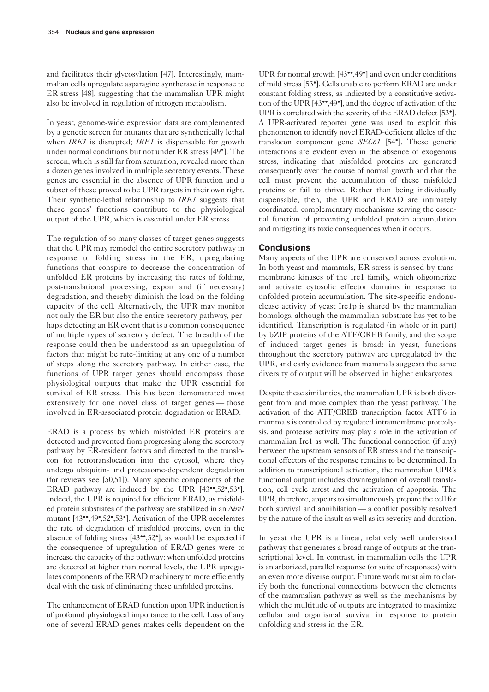and facilitates their glycosylation [47]. Interestingly, mammalian cells upregulate asparagine synthetase in response to ER stress [48], suggesting that the mammalian UPR might also be involved in regulation of nitrogen metabolism.

In yeast, genome-wide expression data are complemented by a genetic screen for mutants that are synthetically lethal when *IRE1* is disrupted; *IRE1* is dispensable for growth under normal conditions but not under ER stress [49•]. The screen, which is still far from saturation, revealed more than a dozen genes involved in multiple secretory events. These genes are essential in the absence of UPR function and a subset of these proved to be UPR targets in their own right. Their synthetic-lethal relationship to *IRE1* suggests that these genes' functions contribute to the physiological output of the UPR, which is essential under ER stress.

The regulation of so many classes of target genes suggests that the UPR may remodel the entire secretory pathway in response to folding stress in the ER, upregulating functions that conspire to decrease the concentration of unfolded ER proteins by increasing the rates of folding, post-translational processing, export and (if necessary) degradation, and thereby diminish the load on the folding capacity of the cell. Alternatively, the UPR may monitor not only the ER but also the entire secretory pathway, perhaps detecting an ER event that is a common consequence of multiple types of secretory defect. The breadth of the response could then be understood as an upregulation of factors that might be rate-limiting at any one of a number of steps along the secretory pathway. In either case, the functions of UPR target genes should encompass those physiological outputs that make the UPR essential for survival of ER stress. This has been demonstrated most extensively for one novel class of target genes — those involved in ER-associated protein degradation or ERAD.

ERAD is a process by which misfolded ER proteins are detected and prevented from progressing along the secretory pathway by ER-resident factors and directed to the translocon for retrotranslocation into the cytosol, where they undergo ubiquitin- and proteasome-dependent degradation (for reviews see [50,51]). Many specific components of the ERAD pathway are induced by the UPR [43••,52•,53•]. Indeed, the UPR is required for efficient ERAD, as misfolded protein substrates of the pathway are stabilized in an ∆*ire1* mutant [43••,49•,52•,53•]. Activation of the UPR accelerates the rate of degradation of misfolded proteins, even in the absence of folding stress [43••,52•], as would be expected if the consequence of upregulation of ERAD genes were to increase the capacity of the pathway: when unfolded proteins are detected at higher than normal levels, the UPR upregulates components of the ERAD machinery to more efficiently deal with the task of eliminating these unfolded proteins.

The enhancement of ERAD function upon UPR induction is of profound physiological importance to the cell. Loss of any one of several ERAD genes makes cells dependent on the

UPR for normal growth  $[43^{\bullet\bullet}, 49^{\bullet}]$  and even under conditions of mild stress [53•]. Cells unable to perform ERAD are under constant folding stress, as indicated by a constitutive activation of the UPR [43••,49•], and the degree of activation of the UPR is correlated with the severity of the ERAD defect [53•]. A UPR-activated reporter gene was used to exploit this phenomenon to identify novel ERAD-deficient alleles of the translocon component gene *SEC61* [54•]. These genetic interactions are evident even in the absence of exogenous stress, indicating that misfolded proteins are generated consequently over the course of normal growth and that the cell must prevent the accumulation of these misfolded proteins or fail to thrive. Rather than being individually dispensable, then, the UPR and ERAD are intimately coordinated, complementary mechanisms serving the essential function of preventing unfolded protein accumulation and mitigating its toxic consequences when it occurs.

# **Conclusions**

Many aspects of the UPR are conserved across evolution. In both yeast and mammals, ER stress is sensed by transmembrane kinases of the Ire1 family, which oligomerize and activate cytosolic effector domains in response to unfolded protein accumulation. The site-specific endonuclease activity of yeast Ire1p is shared by the mammalian homologs, although the mammalian substrate has yet to be identified. Transcription is regulated (in whole or in part) by bZIP proteins of the ATF/CREB family, and the scope of induced target genes is broad: in yeast, functions throughout the secretory pathway are upregulated by the UPR, and early evidence from mammals suggests the same diversity of output will be observed in higher eukaryotes.

Despite these similarities, the mammalian UPR is both divergent from and more complex than the yeast pathway. The activation of the ATF/CREB transcription factor ATF6 in mammals is controlled by regulated intramembrane proteolysis, and protease activity may play a role in the activation of mammalian Ire1 as well. The functional connection (if any) between the upstream sensors of ER stress and the transcriptional effectors of the response remains to be determined. In addition to transcriptional activation, the mammalian UPR's functional output includes downregulation of overall translation, cell cycle arrest and the activation of apoptosis. The UPR, therefore, appears to simultaneously prepare the cell for both survival and annihilation — a conflict possibly resolved by the nature of the insult as well as its severity and duration.

In yeast the UPR is a linear, relatively well understood pathway that generates a broad range of outputs at the transcriptional level. In contrast, in mammalian cells the UPR is an arborized, parallel response (or suite of responses) with an even more diverse output. Future work must aim to clarify both the functional connections between the elements of the mammalian pathway as well as the mechanisms by which the multitude of outputs are integrated to maximize cellular and organismal survival in response to protein unfolding and stress in the ER.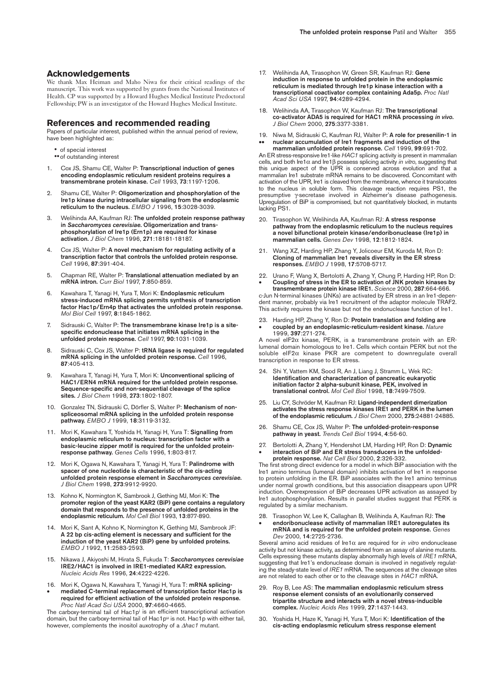### **Acknowledgements**

We thank Max Heiman and Maho Niwa for their critical readings of the manuscript. This work was supported by grants from the National Institutes of Health. CP was supported by a Howard Hughes Medical Institute Predoctoral Fellowship; PW is an investigator of the Howard Hughes Medical Institute.

#### **References and recommended reading**

Papers of particular interest, published within the annual period of review, have been highlighted as:

- of special interest
- ••of outstanding interest
- 1. Cox JS, Shamu CE, Walter P: **Transcriptional induction of genes encoding endoplasmic reticulum resident proteins requires a transmembrane protein kinase.** *Cell* 1993, **73**:1197-1206.
- 2. Shamu CE, Walter P: **Oligomerization and phosphorylation of the Ire1p kinase during intracellular signaling from the endoplasmic reticulum to the nucleus.** *EMBO J* 1996, **15**:3028-3039.
- 3. Welihinda AA, Kaufman RJ: **The unfolded protein response pathway in** *Saccharomyces cerevisiae***. Oligomerization and transphosphorylation of Ire1p (Ern1p) are required for kinase activation.** *J Biol Chem* 1996, **271**:18181-18187.
- 4. Cox JS, Walter P: **A novel mechanism for regulating activity of a transcription factor that controls the unfolded protein response.** *Cell* 1996, **87**:391-404.
- 5. Chapman RE, Walter P: **Translational attenuation mediated by an mRNA intron.** *Curr Biol* 1997, **7**:850-859.
- 6. Kawahara T, Yanagi H, Yura T, Mori K: **Endoplasmic reticulum stress-induced mRNA splicing permits synthesis of transcription factor Hac1p/Ern4p that activates the unfolded protein response.** *Mol Biol Cell* 1997, **8**:1845-1862.
- 7. Sidrauski C, Walter P: **The transmembrane kinase Ire1p is a sitespecific endonuclease that initiates mRNA splicing in the unfolded protein response.** *Cell* 1997, **90**:1031-1039.
- 8. Sidrauski C, Cox JS, Walter P: **tRNA ligase is required for regulated mRNA splicing in the unfolded protein response.** *Cell* 1996, **87**:405-413.
- 9. Kawahara T, Yanagi H, Yura T, Mori K: **Unconventional splicing of HAC1/ERN4 mRNA required for the unfolded protein response. Sequence-specific and non-sequential cleavage of the splice sites.** *J Biol Chem* 1998, **273**:1802-1807.
- 10. Gonzalez TN, Sidrauski C, Dörfler S, Walter P: **Mechanism of nonspliceosomal mRNA splicing in the unfolded protein response pathway.** *EMBO J* 1999, **18**:3119-3132.
- 11. Mori K, Kawahara T, Yoshida H, Yanagi H, Yura T: **Signalling from endoplasmic reticulum to nucleus: transcription factor with a basic-leucine zipper motif is required for the unfolded proteinresponse pathway.** *Genes Cells* 1996, **1**:803-817.
- 12. Mori K, Ogawa N, Kawahara T, Yanagi H, Yura T: **Palindrome with spacer of one nucleotide is characteristic of the cis-acting unfolded protein response element in** *Saccharomyces cerevisiae***.** *J Biol Chem* 1998, **273**:9912-9920.
- 13. Kohno K, Normington K, Sambrook J, Gething MJ, Mori K: **The promoter region of the yeast KAR2 (BiP) gene contains a regulatory domain that responds to the presence of unfolded proteins in the endoplasmic reticulum.** *Mol Cell Biol* 1993, **13**:877-890.
- 14. Mori K, Sant A, Kohno K, Normington K, Gething MJ, Sambrook JF: **A 22 bp cis-acting element is necessary and sufficient for the induction of the yeast KAR2 (BiP) gene by unfolded proteins.** *EMBO J* 1992, **11**:2583-2593.
- 15. Nikawa J, Akiyoshi M, Hirata S, Fukuda T: *Saccharomyces cerevisiae* **IRE2/HAC1 is involved in IRE1-mediated KAR2 expression.** *Nucleic Acids Res* 1996, **24**:4222-4226.
- 16. Mori K, Ogawa N, Kawahara T, Yanagi H, Yura T: **mRNA splicing-** • **mediated C-terminal replacement of transcription factor Hac1p is required for efficient activation of the unfolded protein response.** *Proc Natl Acad Sci USA* 2000, **97**:4660-4665.

The carboxy-terminal tail of Hac1pi is an efficient transcriptional activation domain, but the carboxy-terminal tail of Hac1p<sup>u</sup> is not. Hac1p with either tail, however, complements the inositol auxotrophy of a ∆*hac1* mutant.

- 17. Welihinda AA, Tirasophon W, Green SR, Kaufman RJ: **Gene induction in response to unfolded protein in the endoplasmic reticulum is mediated through Ire1p kinase interaction with a transcriptional coactivator complex containing Ada5p.** *Proc Natl Acad Sci USA* 1997, **94**:4289-4294.
- 18. Welihinda AA, Tirasophon W, Kaufman RJ: **The transcriptional co-activator ADA5 is required for HAC1 mRNA processing** *in vivo***.** *J Biol Chem* 2000, **275**:3377-3381.
- 19. Niwa M, Sidrauski C, Kaufman RJ, Walter P: **A role for presenilin-1 in**  •• **nuclear accumulation of Ire1 fragments and induction of the**

**mammalian unfolded protein response.** *Cell* 1999, **99**:691-702. An ER stress-responsive Ire1-like *HAC1* splicing activity is present in mammalian cells, and both Ire1α and Ire1β possess splicing activity *in vitro*, suggesting that this unique aspect of the UPR is conserved across evolution and that a mammalian Ire1 substrate mRNA remains to be discovered. Concomitant with activation of the UPR, Ire1 is cleaved from the membrane, whence it translocates to the nucleus in soluble form. This cleavage reaction requires PS1, the presumptive γ-secretase involved in Alzheimer's disease pathogenesis. Upregulation of BiP is compromised, but not quantitatively blocked, in mutants lacking PS1.

- 20. Tirasophon W, Welihinda AA, Kaufman RJ: **A stress response pathway from the endoplasmic reticulum to the nucleus requires a novel bifunctional protein kinase/endoribonuclease (Ire1p) in mammalian cells.** *Genes Dev* 1998, **12**:1812-1824.
- 21. Wang XZ, Harding HP, Zhang Y, Jolicoeur EM, Kuroda M, Ron D: **Cloning of mammalian Ire1 reveals diversity in the ER stress responses.** *EMBO J* 1998, **17**:5708-5717.
- 22. Urano F, Wang X, Bertolotti A, Zhang Y, Chung P, Harding HP, Ron D: • **Coupling of stress in the ER to activation of JNK protein kinases by**

**transmembrane protein kinase IRE1.** *Science* 2000, **287**:664-666. c-Jun N-terminal kinases (JNKs) are activated by ER stress in an Ire1-dependent manner, probably via Ire1 recruitment of the adaptor molecule TRAF2. This activity requires the kinase but not the endonuclease function of Ire1.

23. Harding HP, Zhang Y, Ron D: **Protein translation and folding are**  • **coupled by an endoplasmic-reticulum-resident kinase.** *Nature* 1999, **397**:271-274.

A novel eIF2α kinase, PERK, is a transmembrane protein with an ERlumenal domain homologous to Ire1. Cells which contain PERK but not the soluble eIF2α kinase PKR are competent to downregulate overall transcription in response to ER stress.

- Shi Y, Vattem KM, Sood R, An J, Liang J, Stramm L, Wek RC: **Identification and characterization of pancreatic eukaryotic initiation factor 2 alpha-subunit kinase, PEK, involved in translational control.** *Mol Cell Biol* 1998, **18**:7499-7509.
- 25. Liu CY, Schröder M, Kaufman RJ: **Ligand-independent dimerization activates the stress response kinases IRE1 and PERK in the lumen of the endoplasmic reticulum.** *J Biol Chem* 2000, **275**:24881-24885.
- 26. Shamu CE, Cox JS, Walter P: **The unfolded-protein-response pathway in yeast.** *Trends Cell Biol* 1994, **4**:56-60.
- 27. Bertolotti A, Zhang Y, Hendershot LM, Harding HP, Ron D: **Dynamic**  interaction of BiP and ER stress transducers in the unfolded**protein response.** *Nat Cell Biol* 2000, **2**:326-332.

The first strong direct evidence for a model in which BiP association with the Ire1 amino terminus (lumenal domain) inhibits activation of Ire1 in response to protein unfolding in the ER. BiP associates with the Ire1 amino terminus under normal growth conditions, but this association disappears upon UPR induction. Overexpression of BiP decreases UPR activation as assayed by Ire1 autophosphorylation. Results in parallel studies suggest that PERK is regulated by a similar mechanism.

28. Tirasophon W, Lee K, Callaghan B, Welihinda A, Kaufman RJ: **The**  • **endoribonuclease activity of mammalian IRE1 autoregulates its mRNA and is required for the unfolded protein response.** *Genes Dev* 2000, **14**:2725-2736.

Several amino acid residues of Ire1α are required for *in vitro* endonuclease activity but not kinase activity, as determined from an assay of alanine mutants. Cells expressing these mutants display abnormally high levels of *IRE1* mRNA, suggesting that Ire1's endonuclease domain is involved in negatively regulating the steady-state level of *IRE1* mRNA. The sequences at the cleavage sites are not related to each other or to the cleavage sites in *HAC1* mRNA.

- 29. Roy B, Lee AS: **The mammalian endoplasmic reticulum stress response element consists of an evolutionarily conserved tripartite structure and interacts with a novel stress-inducible complex.** *Nucleic Acids Res* 1999, **27**:1437-1443.
- 30. Yoshida H, Haze K, Yanagi H, Yura T, Mori K: **Identification of the cis-acting endoplasmic reticulum stress response element**